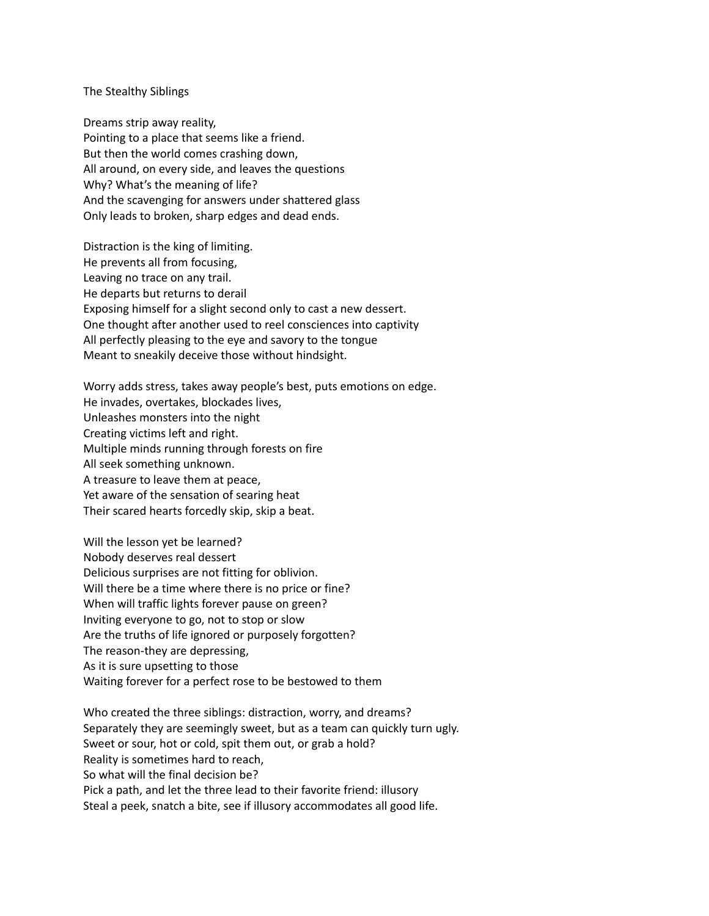The Stealthy Siblings

Dreams strip away reality, Pointing to a place that seems like a friend. But then the world comes crashing down, All around, on every side, and leaves the questions Why? What's the meaning of life? And the scavenging for answers under shattered glass Only leads to broken, sharp edges and dead ends.

Distraction is the king of limiting. He prevents all from focusing, Leaving no trace on any trail. He departs but returns to derail Exposing himself for a slight second only to cast a new dessert. One thought after another used to reel consciences into captivity All perfectly pleasing to the eye and savory to the tongue Meant to sneakily deceive those without hindsight.

Worry adds stress, takes away people's best, puts emotions on edge. He invades, overtakes, blockades lives, Unleashes monsters into the night Creating victims left and right. Multiple minds running through forests on fire All seek something unknown. A treasure to leave them at peace, Yet aware of the sensation of searing heat Their scared hearts forcedly skip, skip a beat.

Will the lesson yet be learned? Nobody deserves real dessert Delicious surprises are not fitting for oblivion. Will there be a time where there is no price or fine? When will traffic lights forever pause on green? Inviting everyone to go, not to stop or slow Are the truths of life ignored or purposely forgotten? The reason-they are depressing, As it is sure upsetting to those Waiting forever for a perfect rose to be bestowed to them

Who created the three siblings: distraction, worry, and dreams? Separately they are seemingly sweet, but as a team can quickly turn ugly. Sweet or sour, hot or cold, spit them out, or grab a hold? Reality is sometimes hard to reach, So what will the final decision be? Pick a path, and let the three lead to their favorite friend: illusory Steal a peek, snatch a bite, see if illusory accommodates all good life.